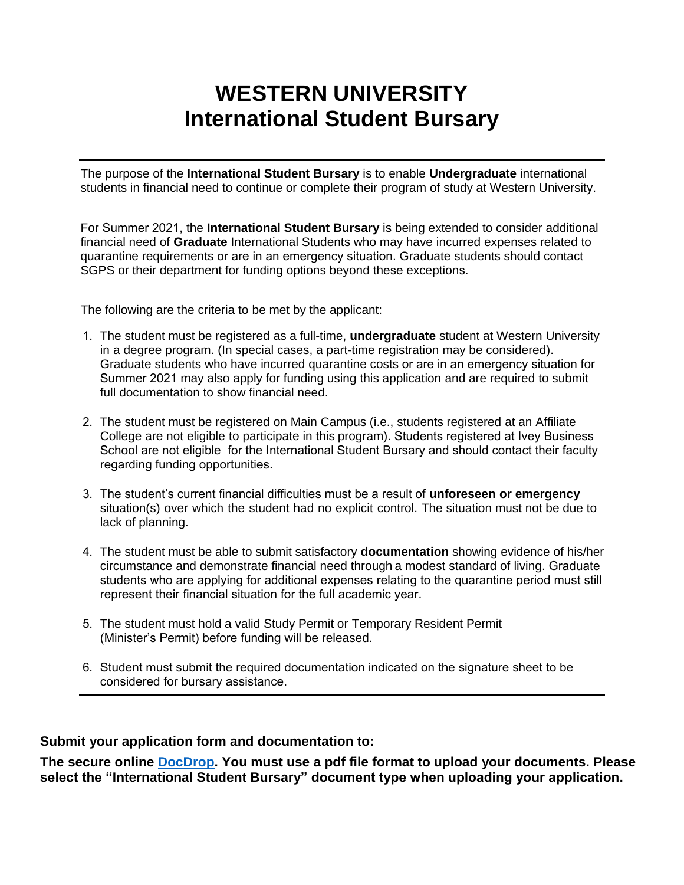# **WESTERN UNIVERSITY International Student Bursary**

The purpose of the **International Student Bursary** is to enable **Undergraduate** international students in financial need to continue or complete their program of study at Western University.

For Summer 2021, the **International Student Bursary** is being extended to consider additional financial need of **Graduate** International Students who may have incurred expenses related to quarantine requirements or are in an emergency situation. Graduate students should contact SGPS or their department for funding options beyond these exceptions.

The following are the criteria to be met by the applicant:

- 1. The student must be registered as a full-time, **undergraduate** student at Western University in a degree program. (In special cases, a part-time registration may be considered). Graduate students who have incurred quarantine costs or are in an emergency situation for Summer 2021 may also apply for funding using this application and are required to submit full documentation to show financial need.
- 2. The student must be registered on Main Campus (i.e., students registered at an Affiliate College are not eligible to participate in this program). Students registered at Ivey Business School are not eligible for the International Student Bursary and should contact their faculty regarding funding opportunities.
- 3. The student's current financial difficulties must be a result of **unforeseen or emergency** situation(s) over which the student had no explicit control. The situation must not be due to lack of planning.
- 4. The student must be able to submit satisfactory **documentation** showing evidence of his/her circumstance and demonstrate financial need through a modest standard of living. Graduate students who are applying for additional expenses relating to the quarantine period must still represent their financial situation for the full academic year.
- 5. The student must hold a valid Study Permit or Temporary Resident Permit (Minister's Permit) before funding will be released.
- 6. Student must submit the required documentation indicated on the signature sheet to be considered for bursary assistance.

#### **Submit your application form and documentation to:**

**The secure online [DocDrop.](https://studentservices.uwo.ca/secure/oneexperience/docdrop/upload.cfm) You must use a pdf file format to upload your documents. Please select the "International Student Bursary" document type when uploading your application.**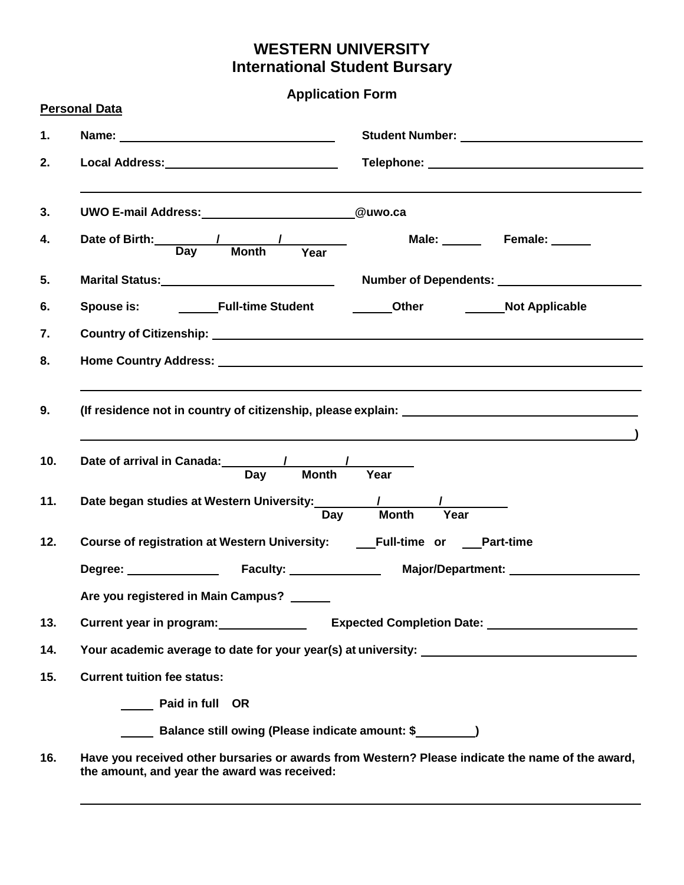# **WESTERN UNIVERSITY International Student Bursary**

**Application Form**

|           | <b>Personal Data</b>                                                                                                                                                                                                                   |  |                                                                                                                                                                                                                                |  |
|-----------|----------------------------------------------------------------------------------------------------------------------------------------------------------------------------------------------------------------------------------------|--|--------------------------------------------------------------------------------------------------------------------------------------------------------------------------------------------------------------------------------|--|
| 1.        |                                                                                                                                                                                                                                        |  | Student Number: Van Australia and Australia and Australia and Australia and Australia and Australia and Australia                                                                                                              |  |
| 2.        | Local Address: Management Cocal Address: Management Cocal Address:                                                                                                                                                                     |  | Telephone: New York Changes and Changes and Changes and Changes and Changes and Changes and Changes and Changes and Changes and Changes and Changes and Changes and Changes and Changes and Changes and Changes and Changes an |  |
| 3.        | UWO E-mail Address: 2008 2010 2021 2022 2023 2024 2022 2022 2023 2024 2022 2023 2024 2022 2023 2024 2022 2023                                                                                                                          |  |                                                                                                                                                                                                                                |  |
| 4.        | Date of Birth: 1 1<br>Day Month Year Male: Female: 1                                                                                                                                                                                   |  |                                                                                                                                                                                                                                |  |
| 5.        |                                                                                                                                                                                                                                        |  |                                                                                                                                                                                                                                |  |
| 6.        | Spouse is: _________Full-time Student ___________Other _______________Not Applicable                                                                                                                                                   |  |                                                                                                                                                                                                                                |  |
| 7.        |                                                                                                                                                                                                                                        |  |                                                                                                                                                                                                                                |  |
| 8.        | Home Country Address: No. 2014 12:30 12:30 12:30 12:30 12:30 12:30 12:30 12:30 12:30 12:30 12:30 12:30 12:30 1                                                                                                                         |  |                                                                                                                                                                                                                                |  |
| 9.<br>10. | (If residence not in country of citizenship, please explain: \\sqrtdgsqrtdgsqrtdgsqrtdgsqrtdgsqrtdgsqrtdgsqrtd<br>Year                                                                                                                 |  |                                                                                                                                                                                                                                |  |
| 11.       | <b>Month</b><br>Day<br>Year                                                                                                                                                                                                            |  |                                                                                                                                                                                                                                |  |
| 12.       | Course of registration at Western University: _____Full-time or ____Part-time                                                                                                                                                          |  |                                                                                                                                                                                                                                |  |
|           |                                                                                                                                                                                                                                        |  |                                                                                                                                                                                                                                |  |
|           | Are you registered in Main Campus?                                                                                                                                                                                                     |  |                                                                                                                                                                                                                                |  |
| 13.       | Current year in program:<br><u>Letter and the set of the set of the set of the set of the set of the set of the set of the set of the set of the set of the set of the set of the set of the set of the set of the set of the set </u> |  |                                                                                                                                                                                                                                |  |
| 14.       | Your academic average to date for your year(s) at university:                                                                                                                                                                          |  |                                                                                                                                                                                                                                |  |
| 15.       | <b>Current tuition fee status:</b>                                                                                                                                                                                                     |  |                                                                                                                                                                                                                                |  |
|           | <b>Example 1</b> Paid in full OR                                                                                                                                                                                                       |  |                                                                                                                                                                                                                                |  |
|           | Balance still owing (Please indicate amount: \$                                                                                                                                                                                        |  |                                                                                                                                                                                                                                |  |
| 16.       | Have you received other bursaries or awards from Western? Please indicate the name of the award,<br>the amount, and year the award was received:                                                                                       |  |                                                                                                                                                                                                                                |  |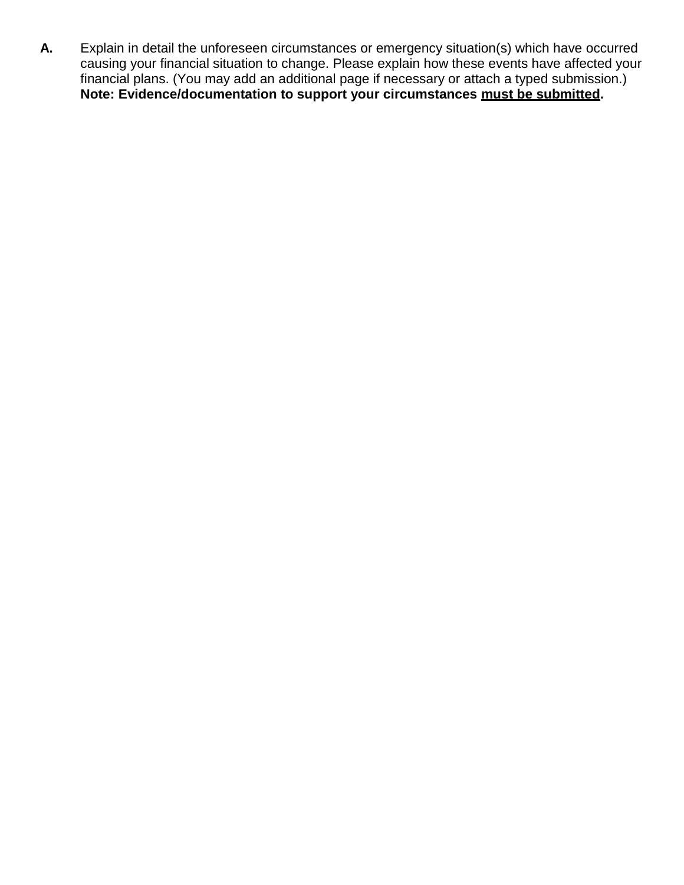**A.** Explain in detail the unforeseen circumstances or emergency situation(s) which have occurred causing your financial situation to change. Please explain how these events have affected your financial plans. (You may add an additional page if necessary or attach a typed submission.) **Note: Evidence/documentation to support your circumstances must be submitted.**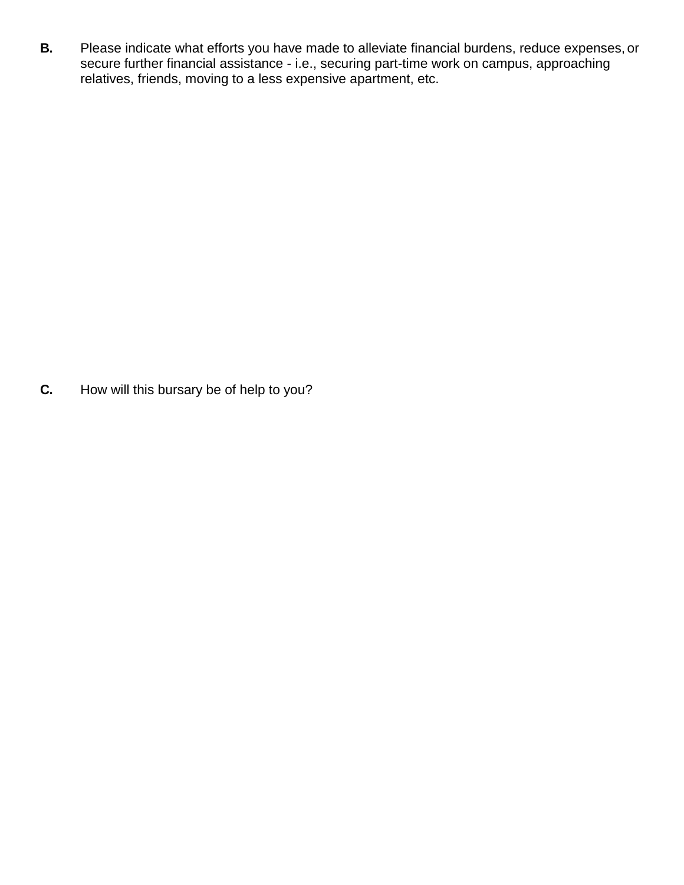**B.** Please indicate what efforts you have made to alleviate financial burdens, reduce expenses, or secure further financial assistance - i.e., securing part-time work on campus, approaching relatives, friends, moving to a less expensive apartment, etc.

**C.** How will this bursary be of help to you?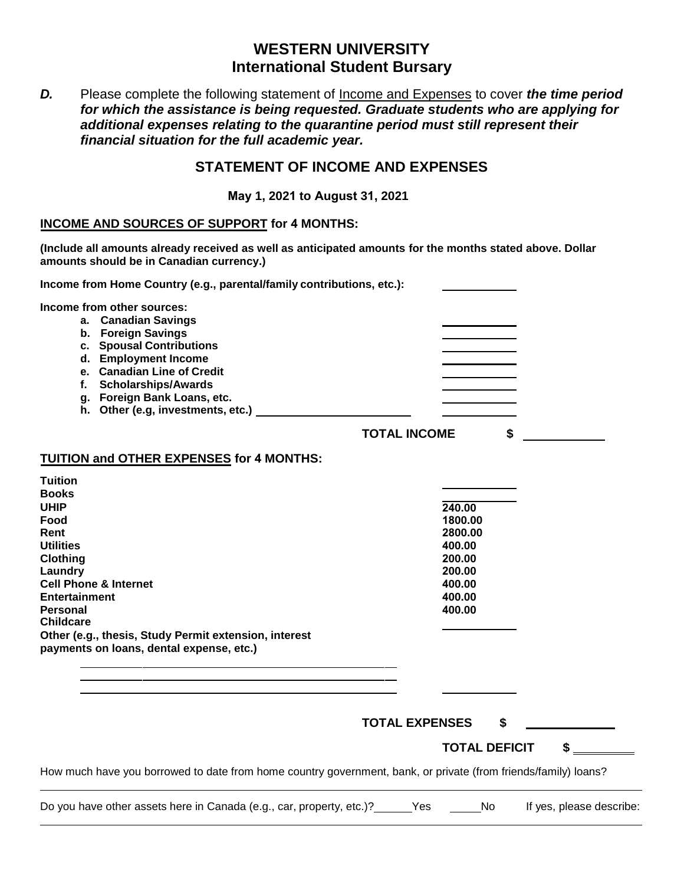# **WESTERN UNIVERSITY International Student Bursary**

*D.* Please complete the following statement of Income and Expenses to cover *the time period for which the assistance is being requested. Graduate students who are applying for additional expenses relating to the quarantine period must still represent their financial situation for the full academic year.*

### **STATEMENT OF INCOME AND EXPENSES**

**May 1, 2021 to August 31, 2021** 

## **INCOME AND SOURCES OF SUPPORT for 4 MONTHS:**

**(Include all amounts already received as well as anticipated amounts for the months stated above. Dollar amounts should be in Canadian currency.)** 

| Income from Home Country (e.g., parental/family contributions, etc.):                                                                                                                                                                                                                                            |                                                                                          |
|------------------------------------------------------------------------------------------------------------------------------------------------------------------------------------------------------------------------------------------------------------------------------------------------------------------|------------------------------------------------------------------------------------------|
| Income from other sources:<br>a. Canadian Savings<br>b. Foreign Savings<br>c. Spousal Contributions<br>d. Employment Income<br>e. Canadian Line of Credit<br>f. Scholarships/Awards<br>g. Foreign Bank Loans, etc.<br>h. Other (e.g, investments, etc.)                                                          | \$<br><b>TOTAL INCOME</b>                                                                |
| <b>TUITION and OTHER EXPENSES for 4 MONTHS:</b>                                                                                                                                                                                                                                                                  |                                                                                          |
| <b>Tuition</b><br><b>Books</b><br><b>UHIP</b><br>Food<br>Rent<br><b>Utilities</b><br>Clothing<br>Laundry<br><b>Cell Phone &amp; Internet</b><br><b>Entertainment</b><br><b>Personal</b><br><b>Childcare</b><br>Other (e.g., thesis, Study Permit extension, interest<br>payments on loans, dental expense, etc.) | 240.00<br>1800.00<br>2800.00<br>400.00<br>200.00<br>200.00<br>400.00<br>400.00<br>400.00 |
|                                                                                                                                                                                                                                                                                                                  |                                                                                          |
|                                                                                                                                                                                                                                                                                                                  | <b>TOTAL EXPENSES</b><br>\$                                                              |
|                                                                                                                                                                                                                                                                                                                  | \$<br><b>TOTAL DEFICIT</b>                                                               |
| How much have you borrowed to date from home country government, bank, or private (from friends/family) loans?                                                                                                                                                                                                   |                                                                                          |
| Do you have other assets here in Canada (e.g., car, property, etc.)? [155] Yes                                                                                                                                                                                                                                   | No.<br>If yes, please describe:                                                          |